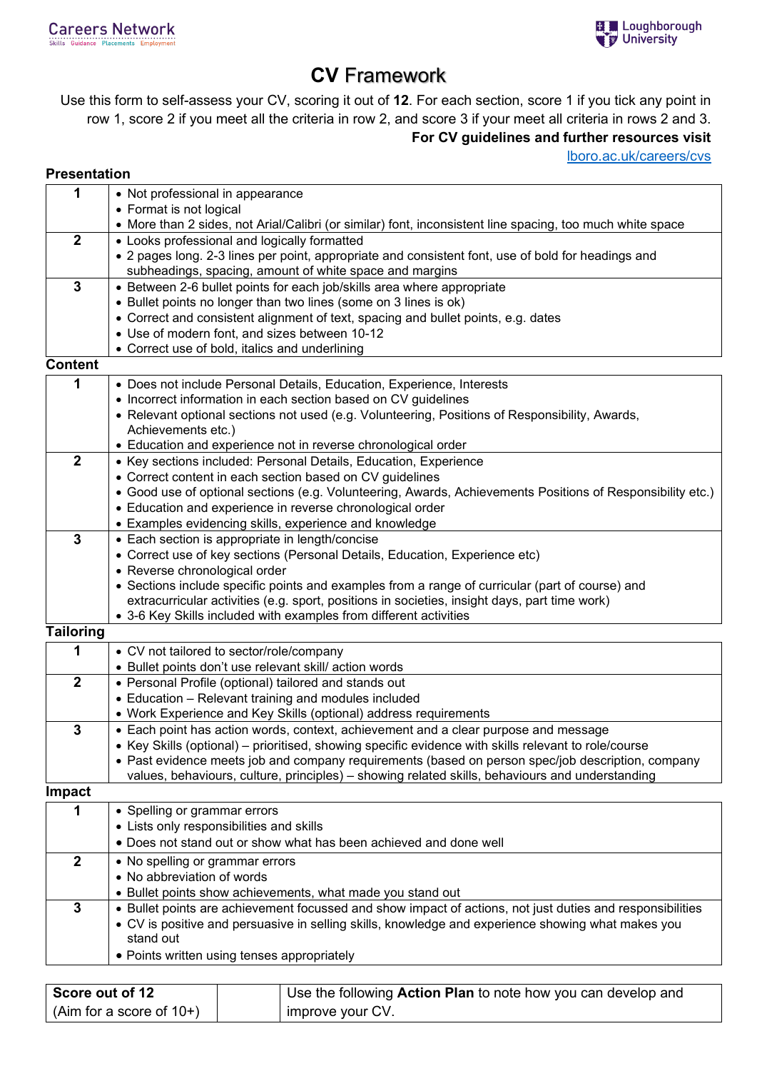## **CV** Framework

Use this form to self-assess your CV, scoring it out of **12**. For each section, score 1 if you tick any point in row 1, score 2 if you meet all the criteria in row 2, and score 3 if your meet all criteria in rows 2 and 3. **For CV guidelines and further resources visit** 

[lboro.ac.uk/careers/cvs](http://www.lboro.ac.uk/careers/cvs)

## **Presentation**

| 1                | • Not professional in appearance                                                                                                                                                                     |
|------------------|------------------------------------------------------------------------------------------------------------------------------------------------------------------------------------------------------|
|                  | • Format is not logical<br>• More than 2 sides, not Arial/Calibri (or similar) font, inconsistent line spacing, too much white space                                                                 |
| $\boldsymbol{2}$ | • Looks professional and logically formatted                                                                                                                                                         |
|                  | • 2 pages long. 2-3 lines per point, appropriate and consistent font, use of bold for headings and                                                                                                   |
|                  | subheadings, spacing, amount of white space and margins                                                                                                                                              |
| $\mathbf{3}$     | • Between 2-6 bullet points for each job/skills area where appropriate                                                                                                                               |
|                  | • Bullet points no longer than two lines (some on 3 lines is ok)                                                                                                                                     |
|                  | • Correct and consistent alignment of text, spacing and bullet points, e.g. dates                                                                                                                    |
|                  | • Use of modern font, and sizes between 10-12                                                                                                                                                        |
|                  | • Correct use of bold, italics and underlining                                                                                                                                                       |
| <b>Content</b>   |                                                                                                                                                                                                      |
| 1                | • Does not include Personal Details, Education, Experience, Interests                                                                                                                                |
|                  | • Incorrect information in each section based on CV guidelines                                                                                                                                       |
|                  | • Relevant optional sections not used (e.g. Volunteering, Positions of Responsibility, Awards,                                                                                                       |
|                  | Achievements etc.)                                                                                                                                                                                   |
|                  | • Education and experience not in reverse chronological order                                                                                                                                        |
| $\boldsymbol{2}$ | • Key sections included: Personal Details, Education, Experience                                                                                                                                     |
|                  | • Correct content in each section based on CV guidelines                                                                                                                                             |
|                  | • Good use of optional sections (e.g. Volunteering, Awards, Achievements Positions of Responsibility etc.)<br>• Education and experience in reverse chronological order                              |
|                  | • Examples evidencing skills, experience and knowledge                                                                                                                                               |
| $\mathbf{3}$     | • Each section is appropriate in length/concise                                                                                                                                                      |
|                  | • Correct use of key sections (Personal Details, Education, Experience etc)                                                                                                                          |
|                  | • Reverse chronological order                                                                                                                                                                        |
|                  | • Sections include specific points and examples from a range of curricular (part of course) and                                                                                                      |
|                  | extracurricular activities (e.g. sport, positions in societies, insight days, part time work)                                                                                                        |
|                  | • 3-6 Key Skills included with examples from different activities                                                                                                                                    |
| <b>Tailoring</b> |                                                                                                                                                                                                      |
| 1                | • CV not tailored to sector/role/company                                                                                                                                                             |
|                  | • Bullet points don't use relevant skill/action words                                                                                                                                                |
| $\boldsymbol{2}$ | • Personal Profile (optional) tailored and stands out                                                                                                                                                |
|                  | • Education - Relevant training and modules included                                                                                                                                                 |
|                  | • Work Experience and Key Skills (optional) address requirements                                                                                                                                     |
| 3                | • Each point has action words, context, achievement and a clear purpose and message                                                                                                                  |
|                  | • Key Skills (optional) – prioritised, showing specific evidence with skills relevant to role/course                                                                                                 |
|                  | • Past evidence meets job and company requirements (based on person spec/job description, company<br>values, behaviours, culture, principles) - showing related skills, behaviours and understanding |
| <b>Impact</b>    |                                                                                                                                                                                                      |
| 1                | • Spelling or grammar errors                                                                                                                                                                         |
|                  | • Lists only responsibilities and skills                                                                                                                                                             |
|                  | • Does not stand out or show what has been achieved and done well                                                                                                                                    |
|                  |                                                                                                                                                                                                      |
| $\boldsymbol{2}$ | • No spelling or grammar errors<br>• No abbreviation of words                                                                                                                                        |
|                  | • Bullet points show achievements, what made you stand out                                                                                                                                           |
| $\mathbf{3}$     | • Bullet points are achievement focussed and show impact of actions, not just duties and responsibilities                                                                                            |
|                  | • CV is positive and persuasive in selling skills, knowledge and experience showing what makes you                                                                                                   |
|                  | stand out                                                                                                                                                                                            |
|                  |                                                                                                                                                                                                      |

• Points written using tenses appropriately

| Score out of 12            | Use the following Action Plan to note how you can develop and |
|----------------------------|---------------------------------------------------------------|
| $(Aim for a score of 10+)$ | improve your CV.                                              |